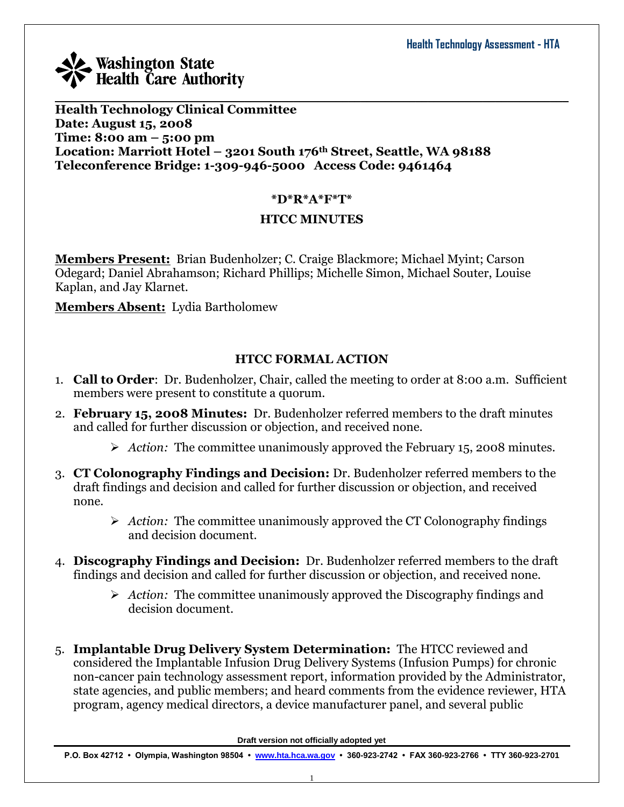**Health Technology Clinical Committee Date: August 15, 2008 Time: 8:00 am – 5:00 pm Location: Marriott Hotel – 3201 South 176th Street, Seattle, WA 98188 Teleconference Bridge: 1-309-946-5000 Access Code: 9461464**

## **\*D\*R\*A\*F\*T\***

 $\mathcal{L}_\mathcal{L} = \mathcal{L}_\mathcal{L} = \mathcal{L}_\mathcal{L} = \mathcal{L}_\mathcal{L} = \mathcal{L}_\mathcal{L} = \mathcal{L}_\mathcal{L} = \mathcal{L}_\mathcal{L} = \mathcal{L}_\mathcal{L} = \mathcal{L}_\mathcal{L} = \mathcal{L}_\mathcal{L} = \mathcal{L}_\mathcal{L} = \mathcal{L}_\mathcal{L} = \mathcal{L}_\mathcal{L} = \mathcal{L}_\mathcal{L} = \mathcal{L}_\mathcal{L} = \mathcal{L}_\mathcal{L} = \mathcal{L}_\mathcal{L}$ 

## **HTCC MINUTES**

**Members Present:** Brian Budenholzer; C. Craige Blackmore; Michael Myint; Carson Odegard; Daniel Abrahamson; Richard Phillips; Michelle Simon, Michael Souter, Louise Kaplan, and Jay Klarnet.

**Members Absent:** Lydia Bartholomew

## **HTCC FORMAL ACTION**

- 1. **Call to Order**: Dr. Budenholzer, Chair, called the meeting to order at 8:00 a.m. Sufficient members were present to constitute a quorum.
- 2. **February 15, 2008 Minutes:** Dr. Budenholzer referred members to the draft minutes and called for further discussion or objection, and received none.
	- *Action:* The committee unanimously approved the February 15, 2008 minutes.
- 3. **CT Colonography Findings and Decision:** Dr. Budenholzer referred members to the draft findings and decision and called for further discussion or objection, and received none.
	- *Action:* The committee unanimously approved the CT Colonography findings and decision document.
- 4. **Discography Findings and Decision:** Dr. Budenholzer referred members to the draft findings and decision and called for further discussion or objection, and received none.
	- *Action:* The committee unanimously approved the Discography findings and decision document.
- 5. **Implantable Drug Delivery System Determination:** The HTCC reviewed and considered the Implantable Infusion Drug Delivery Systems (Infusion Pumps) for chronic non-cancer pain technology assessment report, information provided by the Administrator, state agencies, and public members; and heard comments from the evidence reviewer, HTA program, agency medical directors, a device manufacturer panel, and several public

**Draft version not officially adopted yet**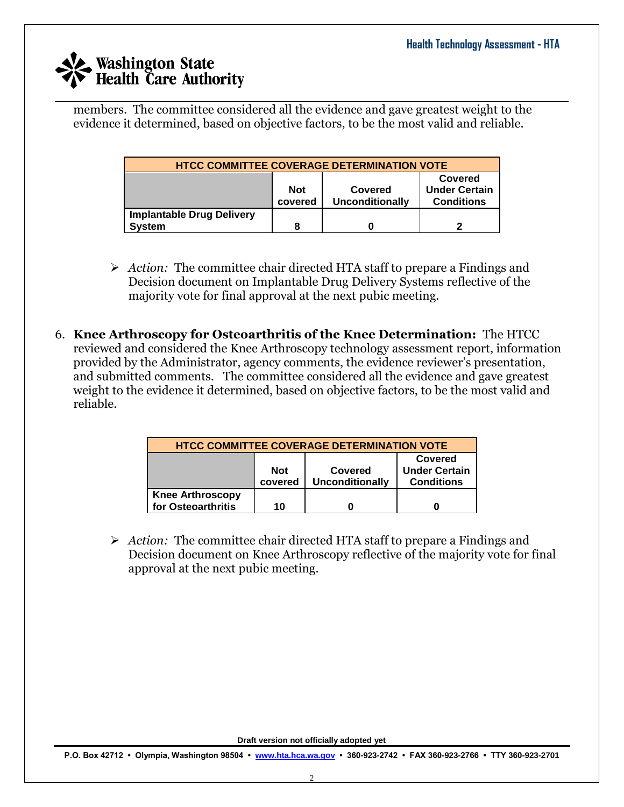$\mathcal{L}_\mathcal{L} = \mathcal{L}_\mathcal{L} = \mathcal{L}_\mathcal{L} = \mathcal{L}_\mathcal{L} = \mathcal{L}_\mathcal{L} = \mathcal{L}_\mathcal{L} = \mathcal{L}_\mathcal{L} = \mathcal{L}_\mathcal{L} = \mathcal{L}_\mathcal{L} = \mathcal{L}_\mathcal{L} = \mathcal{L}_\mathcal{L} = \mathcal{L}_\mathcal{L} = \mathcal{L}_\mathcal{L} = \mathcal{L}_\mathcal{L} = \mathcal{L}_\mathcal{L} = \mathcal{L}_\mathcal{L} = \mathcal{L}_\mathcal{L}$ members. The committee considered all the evidence and gave greatest weight to the evidence it determined, based on objective factors, to be the most valid and reliable.

| <b>HTCC COMMITTEE COVERAGE DETERMINATION VOTE</b>                                                                  |  |  |  |  |  |
|--------------------------------------------------------------------------------------------------------------------|--|--|--|--|--|
| Covered<br><b>Under Certain</b><br><b>Not</b><br>Covered<br><b>Conditions</b><br><b>Unconditionally</b><br>covered |  |  |  |  |  |
| <b>Implantable Drug Delivery</b><br><b>System</b><br>8                                                             |  |  |  |  |  |

- *Action:* The committee chair directed HTA staff to prepare a Findings and Decision document on Implantable Drug Delivery Systems reflective of the majority vote for final approval at the next pubic meeting.
- 6. **Knee Arthroscopy for Osteoarthritis of the Knee Determination:** The HTCC reviewed and considered the Knee Arthroscopy technology assessment report, information provided by the Administrator, agency comments, the evidence reviewer's presentation, and submitted comments. The committee considered all the evidence and gave greatest weight to the evidence it determined, based on objective factors, to be the most valid and reliable.

| <b>HTCC COMMITTEE COVERAGE DETERMINATION VOTE</b>                                                                  |    |  |  |  |  |
|--------------------------------------------------------------------------------------------------------------------|----|--|--|--|--|
| Covered<br><b>Under Certain</b><br><b>Not</b><br>Covered<br>covered<br><b>Unconditionally</b><br><b>Conditions</b> |    |  |  |  |  |
| <b>Knee Arthroscopy</b><br>for Osteoarthritis                                                                      | 10 |  |  |  |  |

 *Action:* The committee chair directed HTA staff to prepare a Findings and Decision document on Knee Arthroscopy reflective of the majority vote for final approval at the next pubic meeting.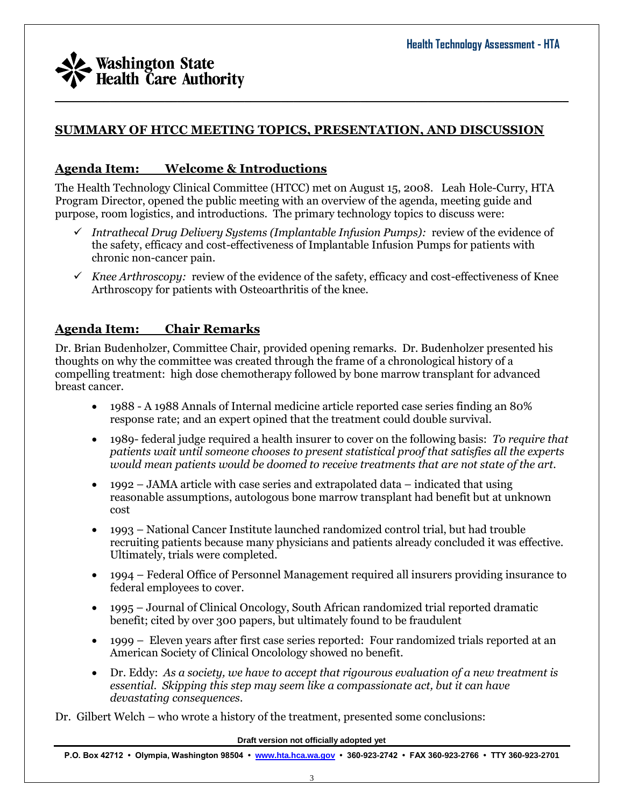

## **SUMMARY OF HTCC MEETING TOPICS, PRESENTATION, AND DISCUSSION**

## **Agenda Item: Welcome & Introductions**

The Health Technology Clinical Committee (HTCC) met on August 15, 2008. Leah Hole-Curry, HTA Program Director, opened the public meeting with an overview of the agenda, meeting guide and purpose, room logistics, and introductions. The primary technology topics to discuss were:

- *Intrathecal Drug Delivery Systems (Implantable Infusion Pumps):* review of the evidence of the safety, efficacy and cost-effectiveness of Implantable Infusion Pumps for patients with chronic non-cancer pain.
- $\checkmark$  Knee Arthroscopy: review of the evidence of the safety, efficacy and cost-effectiveness of Knee Arthroscopy for patients with Osteoarthritis of the knee.

## **Agenda Item: Chair Remarks**

Dr. Brian Budenholzer, Committee Chair, provided opening remarks. Dr. Budenholzer presented his thoughts on why the committee was created through the frame of a chronological history of a compelling treatment: high dose chemotherapy followed by bone marrow transplant for advanced breast cancer.

- 1988 A 1988 Annals of Internal medicine article reported case series finding an 80% response rate; and an expert opined that the treatment could double survival.
- 1989- federal judge required a health insurer to cover on the following basis: *To require that patients wait until someone chooses to present statistical proof that satisfies all the experts would mean patients would be doomed to receive treatments that are not state of the art.*
- $\bullet$  1992 JAMA article with case series and extrapolated data indicated that using reasonable assumptions, autologous bone marrow transplant had benefit but at unknown cost
- 1993 National Cancer Institute launched randomized control trial, but had trouble recruiting patients because many physicians and patients already concluded it was effective. Ultimately, trials were completed.
- 1994 Federal Office of Personnel Management required all insurers providing insurance to federal employees to cover.
- 1995 Journal of Clinical Oncology, South African randomized trial reported dramatic benefit; cited by over 300 papers, but ultimately found to be fraudulent
- 1999 Eleven years after first case series reported: Four randomized trials reported at an American Society of Clinical Oncolology showed no benefit.
- Dr. Eddy: *As a society, we have to accept that rigourous evaluation of a new treatment is essential. Skipping this step may seem like a compassionate act, but it can have devastating consequences.*

Dr. Gilbert Welch – who wrote a history of the treatment, presented some conclusions:

**Draft version not officially adopted yet**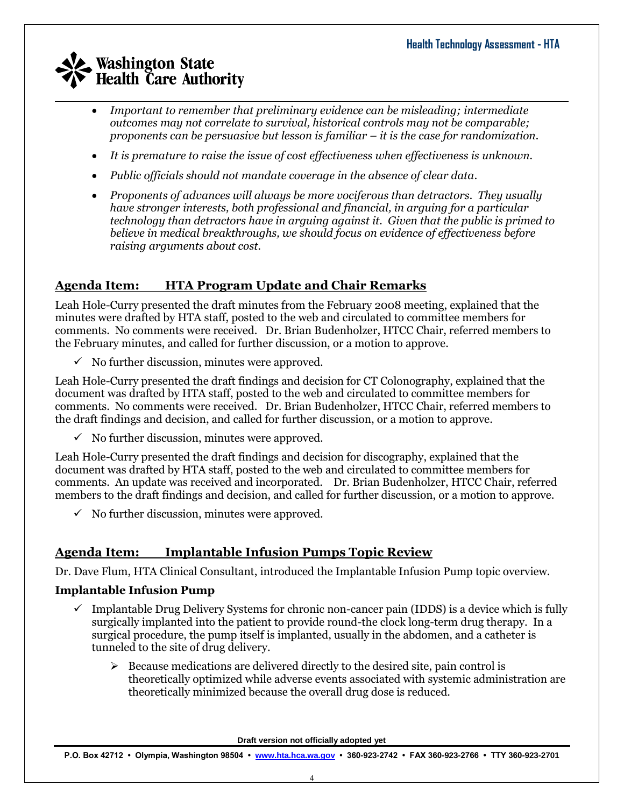- *Important to remember that preliminary evidence can be misleading; intermediate outcomes may not correlate to survival, historical controls may not be comparable; proponents can be persuasive but lesson is familiar – it is the case for randomization.*
- *It is premature to raise the issue of cost effectiveness when effectiveness is unknown.*
- *Public officials should not mandate coverage in the absence of clear data.*
- *Proponents of advances will always be more vociferous than detractors. They usually have stronger interests, both professional and financial, in arguing for a particular technology than detractors have in arguing against it. Given that the public is primed to believe in medical breakthroughs, we should focus on evidence of effectiveness before raising arguments about cost.*

# **Agenda Item: HTA Program Update and Chair Remarks**

Leah Hole-Curry presented the draft minutes from the February 2008 meeting, explained that the minutes were drafted by HTA staff, posted to the web and circulated to committee members for comments. No comments were received. Dr. Brian Budenholzer, HTCC Chair, referred members to the February minutes, and called for further discussion, or a motion to approve.

 $\checkmark$  No further discussion, minutes were approved.

Leah Hole-Curry presented the draft findings and decision for CT Colonography, explained that the document was drafted by HTA staff, posted to the web and circulated to committee members for comments. No comments were received. Dr. Brian Budenholzer, HTCC Chair, referred members to the draft findings and decision, and called for further discussion, or a motion to approve.

 $\checkmark$  No further discussion, minutes were approved.

Leah Hole-Curry presented the draft findings and decision for discography, explained that the document was drafted by HTA staff, posted to the web and circulated to committee members for comments. An update was received and incorporated. Dr. Brian Budenholzer, HTCC Chair, referred members to the draft findings and decision, and called for further discussion, or a motion to approve.

 $\checkmark$  No further discussion, minutes were approved.

# **Agenda Item: Implantable Infusion Pumps Topic Review**

Dr. Dave Flum, HTA Clinical Consultant, introduced the Implantable Infusion Pump topic overview.

## **Implantable Infusion Pump**

- $\checkmark$  Implantable Drug Delivery Systems for chronic non-cancer pain (IDDS) is a device which is fully surgically implanted into the patient to provide round-the clock long-term drug therapy. In a surgical procedure, the pump itself is implanted, usually in the abdomen, and a catheter is tunneled to the site of drug delivery.
	- $\triangleright$  Because medications are delivered directly to the desired site, pain control is theoretically optimized while adverse events associated with systemic administration are theoretically minimized because the overall drug dose is reduced.

**Draft version not officially adopted yet**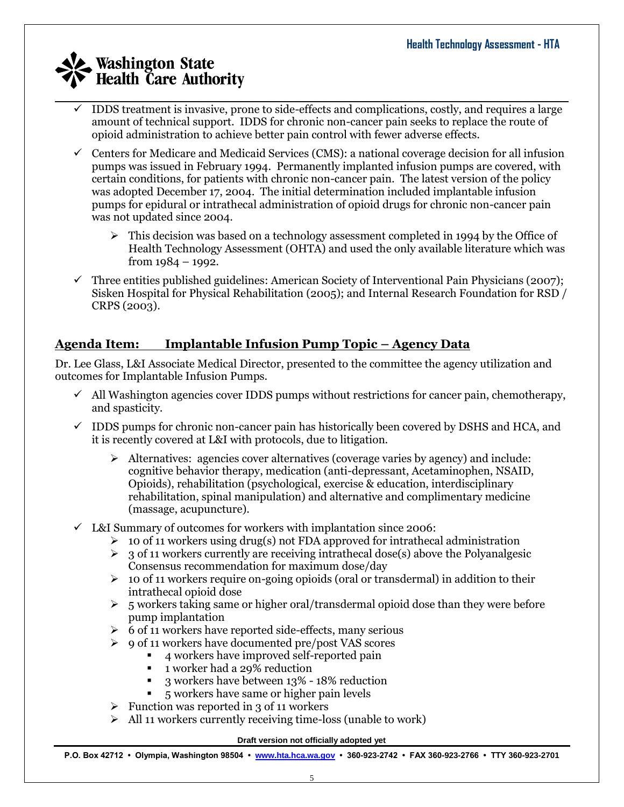- $\mathcal{L}_\mathcal{L} = \mathcal{L}_\mathcal{L} = \mathcal{L}_\mathcal{L} = \mathcal{L}_\mathcal{L} = \mathcal{L}_\mathcal{L} = \mathcal{L}_\mathcal{L} = \mathcal{L}_\mathcal{L} = \mathcal{L}_\mathcal{L} = \mathcal{L}_\mathcal{L} = \mathcal{L}_\mathcal{L} = \mathcal{L}_\mathcal{L} = \mathcal{L}_\mathcal{L} = \mathcal{L}_\mathcal{L} = \mathcal{L}_\mathcal{L} = \mathcal{L}_\mathcal{L} = \mathcal{L}_\mathcal{L} = \mathcal{L}_\mathcal{L}$  IDDS treatment is invasive, prone to side-effects and complications, costly, and requires a large amount of technical support. IDDS for chronic non-cancer pain seeks to replace the route of opioid administration to achieve better pain control with fewer adverse effects.
	- $\checkmark$  Centers for Medicare and Medicaid Services (CMS): a national coverage decision for all infusion pumps was issued in February 1994. Permanently implanted infusion pumps are covered, with certain conditions, for patients with chronic non-cancer pain. The latest version of the policy was adopted December 17, 2004. The initial determination included implantable infusion pumps for epidural or intrathecal administration of opioid drugs for chronic non-cancer pain was not updated since 2004.
		- $\triangleright$  This decision was based on a technology assessment completed in 1994 by the Office of Health Technology Assessment (OHTA) and used the only available literature which was from 1984 – 1992.
	- $\checkmark$  Three entities published guidelines: American Society of Interventional Pain Physicians (2007); Sisken Hospital for Physical Rehabilitation (2005); and Internal Research Foundation for RSD / CRPS (2003).

# **Agenda Item: Implantable Infusion Pump Topic – Agency Data**

Dr. Lee Glass, L&I Associate Medical Director, presented to the committee the agency utilization and outcomes for Implantable Infusion Pumps.

- $\checkmark$  All Washington agencies cover IDDS pumps without restrictions for cancer pain, chemotherapy, and spasticity.
- $\checkmark$  IDDS pumps for chronic non-cancer pain has historically been covered by DSHS and HCA, and it is recently covered at L&I with protocols, due to litigation.
	- $\triangleright$  Alternatives: agencies cover alternatives (coverage varies by agency) and include: cognitive behavior therapy, medication (anti-depressant, Acetaminophen, NSAID, Opioids), rehabilitation (psychological, exercise & education, interdisciplinary rehabilitation, spinal manipulation) and alternative and complimentary medicine (massage, acupuncture).
- $\checkmark$  L&I Summary of outcomes for workers with implantation since 2006:
	- $\geq 10$  of 11 workers using drug(s) not FDA approved for intrathecal administration
	- $\geq 3$  of 11 workers currently are receiving intrathecal dose(s) above the Polyanalgesic Consensus recommendation for maximum dose/day
	- $\geq 10$  of 11 workers require on-going opioids (oral or transdermal) in addition to their intrathecal opioid dose
	- $\geq$  5 workers taking same or higher oral/transdermal opioid dose than they were before pump implantation
	- $\geq 6$  of 11 workers have reported side-effects, many serious
	- 9 of 11 workers have documented pre/post VAS scores
		- 4 workers have improved self-reported pain
		- 1 worker had a 29% reduction
		- 3 workers have between 13% 18% reduction
		- 5 workers have same or higher pain levels
	- $\triangleright$  Function was reported in 3 of 11 workers
	- $\triangleright$  All 11 workers currently receiving time-loss (unable to work)

#### **Draft version not officially adopted yet**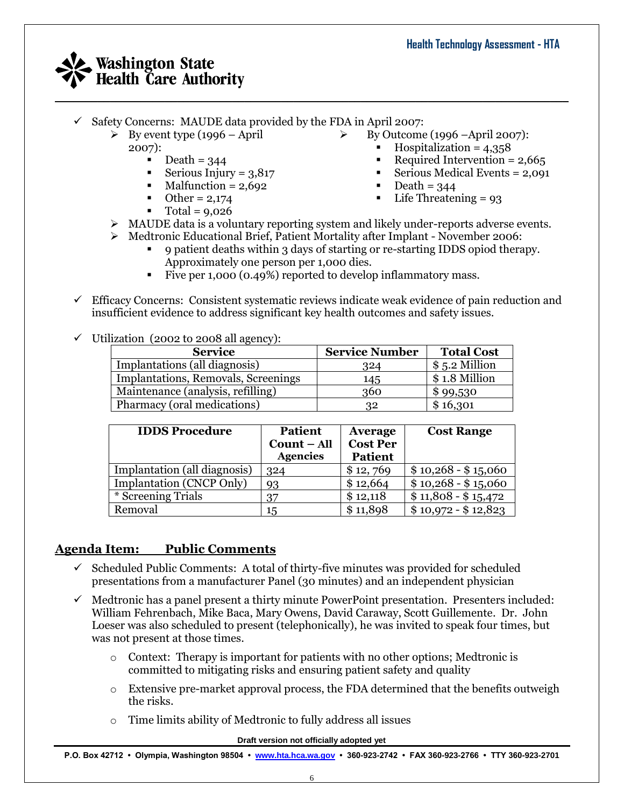- $\checkmark$  Safety Concerns: MAUDE data provided by the FDA in April 2007:
	- $\triangleright$  By event type (1996 April
		- 2007):
			- Death = 344<br>• Serious Iniur
			- Serious Injury =  $3,817$
			- $\n **Malfunction** = 2,692\n$
			- $\bullet$  Other = 2,174
				- Total =  $9,026$
- By Outcome (1996 –April 2007):
	- $\blacksquare$  Hospitalization = 4,358
	- Required Intervention =  $2,665$
	- Serious Medical Events  $= 2,091$
	- Death  $= 344$
	- $\blacksquare$  Life Threatening = 93
- MAUDE data is a voluntary reporting system and likely under-reports adverse events.
- Medtronic Educational Brief, Patient Mortality after Implant November 2006:
	- 9 patient deaths within 3 days of starting or re-starting IDDS opiod therapy. Approximately one person per 1,000 dies.
	- Five per 1,000 (0.49%) reported to develop inflammatory mass.
- $\checkmark$  Efficacy Concerns: Consistent systematic reviews indicate weak evidence of pain reduction and insufficient evidence to address significant key health outcomes and safety issues.
- $\checkmark$  Utilization (2002 to 2008 all agency):

| <b>Service</b>                      | <b>Service Number</b> | <b>Total Cost</b> |
|-------------------------------------|-----------------------|-------------------|
| Implantations (all diagnosis)       | 324                   | $$5.2$ Million    |
| Implantations, Removals, Screenings | 145                   | \$1.8 Million     |
| Maintenance (analysis, refilling)   | 360                   | \$99,530          |
| Pharmacy (oral medications)         | 32                    | \$16,301          |

| <b>IDDS Procedure</b>        | <b>Patient</b><br>Count - All<br><b>Agencies</b> | <b>Average</b><br><b>Cost Per</b><br><b>Patient</b> | <b>Cost Range</b>   |
|------------------------------|--------------------------------------------------|-----------------------------------------------------|---------------------|
| Implantation (all diagnosis) | 324                                              | \$12,769                                            | $$10,268 - $15,060$ |
| Implantation (CNCP Only)     | 93                                               | \$12,664                                            | $$10,268 - $15,060$ |
| * Screening Trials           | 37                                               | \$12,118                                            | $$11,808 - $15,472$ |
| Removal                      | 15                                               | \$11,898                                            | $$10,972 - $12,823$ |

## **Agenda Item: Public Comments**

- $\checkmark$  Scheduled Public Comments: A total of thirty-five minutes was provided for scheduled presentations from a manufacturer Panel (30 minutes) and an independent physician
- $\checkmark$  Medtronic has a panel present a thirty minute PowerPoint presentation. Presenters included: William Fehrenbach, Mike Baca, Mary Owens, David Caraway, Scott Guillemente. Dr. John Loeser was also scheduled to present (telephonically), he was invited to speak four times, but was not present at those times.
	- $\circ$  Context: Therapy is important for patients with no other options; Medtronic is committed to mitigating risks and ensuring patient safety and quality
	- $\circ$  Extensive pre-market approval process, the FDA determined that the benefits outweigh the risks.
	- o Time limits ability of Medtronic to fully address all issues

#### **Draft version not officially adopted yet**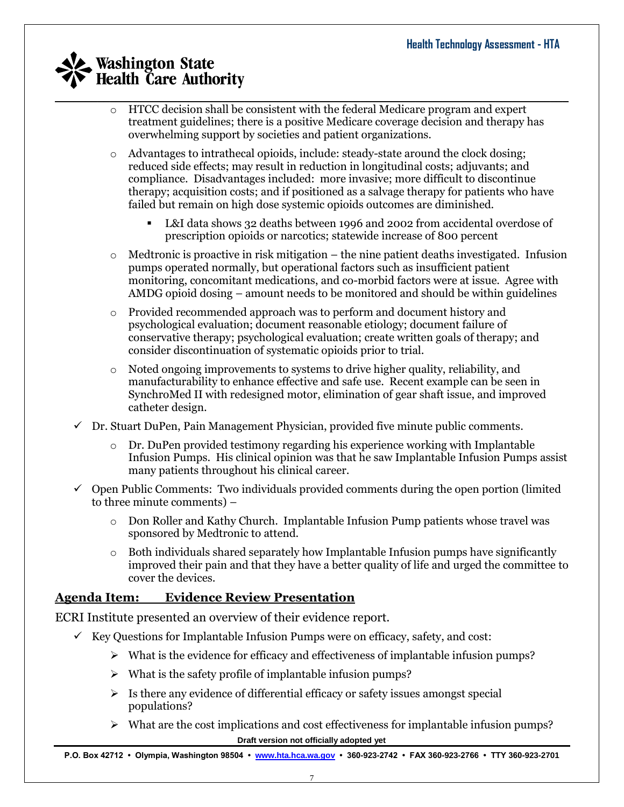- $\mathcal{L}_\mathcal{L} = \mathcal{L}_\mathcal{L} = \mathcal{L}_\mathcal{L} = \mathcal{L}_\mathcal{L} = \mathcal{L}_\mathcal{L} = \mathcal{L}_\mathcal{L} = \mathcal{L}_\mathcal{L} = \mathcal{L}_\mathcal{L} = \mathcal{L}_\mathcal{L} = \mathcal{L}_\mathcal{L} = \mathcal{L}_\mathcal{L} = \mathcal{L}_\mathcal{L} = \mathcal{L}_\mathcal{L} = \mathcal{L}_\mathcal{L} = \mathcal{L}_\mathcal{L} = \mathcal{L}_\mathcal{L} = \mathcal{L}_\mathcal{L}$ o HTCC decision shall be consistent with the federal Medicare program and expert treatment guidelines; there is a positive Medicare coverage decision and therapy has overwhelming support by societies and patient organizations.
	- o Advantages to intrathecal opioids, include: steady-state around the clock dosing; reduced side effects; may result in reduction in longitudinal costs; adjuvants; and compliance. Disadvantages included: more invasive; more difficult to discontinue therapy; acquisition costs; and if positioned as a salvage therapy for patients who have failed but remain on high dose systemic opioids outcomes are diminished.
		- L&I data shows 32 deaths between 1996 and 2002 from accidental overdose of prescription opioids or narcotics; statewide increase of 800 percent
	- $\circ$  Medtronic is proactive in risk mitigation the nine patient deaths investigated. Infusion pumps operated normally, but operational factors such as insufficient patient monitoring, concomitant medications, and co-morbid factors were at issue. Agree with AMDG opioid dosing – amount needs to be monitored and should be within guidelines
	- o Provided recommended approach was to perform and document history and psychological evaluation; document reasonable etiology; document failure of conservative therapy; psychological evaluation; create written goals of therapy; and consider discontinuation of systematic opioids prior to trial.
	- $\circ$  Noted ongoing improvements to systems to drive higher quality, reliability, and manufacturability to enhance effective and safe use. Recent example can be seen in SynchroMed II with redesigned motor, elimination of gear shaft issue, and improved catheter design.
	- $\checkmark$  Dr. Stuart DuPen, Pain Management Physician, provided five minute public comments.
		- $\circ$  Dr. DuPen provided testimony regarding his experience working with Implantable Infusion Pumps. His clinical opinion was that he saw Implantable Infusion Pumps assist many patients throughout his clinical career.
	- $\checkmark$  Open Public Comments: Two individuals provided comments during the open portion (limited to three minute comments) –
		- o Don Roller and Kathy Church. Implantable Infusion Pump patients whose travel was sponsored by Medtronic to attend.
		- $\circ$  Both individuals shared separately how Implantable Infusion pumps have significantly improved their pain and that they have a better quality of life and urged the committee to cover the devices.

# **Agenda Item: Evidence Review Presentation**

ECRI Institute presented an overview of their evidence report.

- $\checkmark$  Key Questions for Implantable Infusion Pumps were on efficacy, safety, and cost:
	- $\triangleright$  What is the evidence for efficacy and effectiveness of implantable infusion pumps?
	- $\triangleright$  What is the safety profile of implantable infusion pumps?
	- $\triangleright$  Is there any evidence of differential efficacy or safety issues amongst special populations?
	- **Draft version not officially adopted yet**  $\triangleright$  What are the cost implications and cost effectiveness for implantable infusion pumps?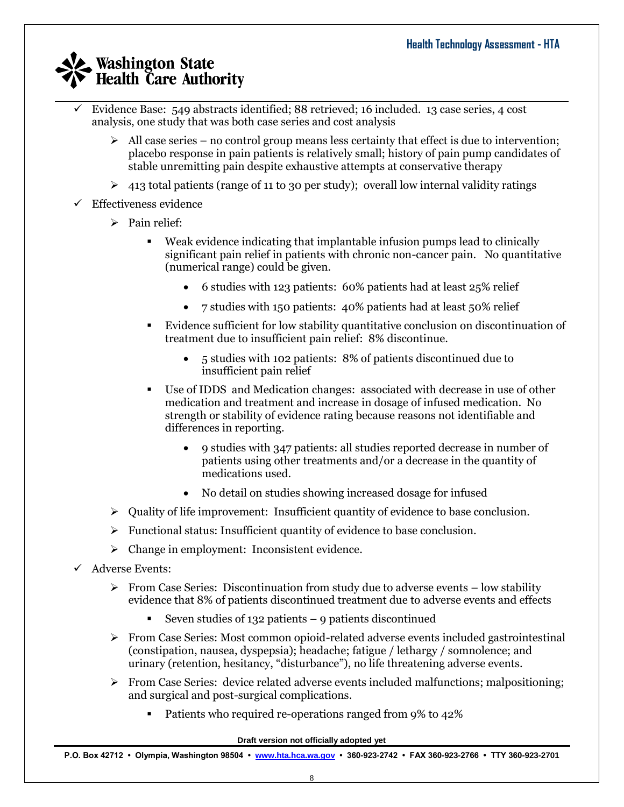- $\mathcal{L}_\mathcal{L} = \mathcal{L}_\mathcal{L} = \mathcal{L}_\mathcal{L} = \mathcal{L}_\mathcal{L} = \mathcal{L}_\mathcal{L} = \mathcal{L}_\mathcal{L} = \mathcal{L}_\mathcal{L} = \mathcal{L}_\mathcal{L} = \mathcal{L}_\mathcal{L} = \mathcal{L}_\mathcal{L} = \mathcal{L}_\mathcal{L} = \mathcal{L}_\mathcal{L} = \mathcal{L}_\mathcal{L} = \mathcal{L}_\mathcal{L} = \mathcal{L}_\mathcal{L} = \mathcal{L}_\mathcal{L} = \mathcal{L}_\mathcal{L}$  Evidence Base: 549 abstracts identified; 88 retrieved; 16 included. 13 case series, 4 cost analysis, one study that was both case series and cost analysis
	- $\triangleright$  All case series no control group means less certainty that effect is due to intervention; placebo response in pain patients is relatively small; history of pain pump candidates of stable unremitting pain despite exhaustive attempts at conservative therapy
	- $\geq$  413 total patients (range of 11 to 30 per study); overall low internal validity ratings
	- $\checkmark$  Effectiveness evidence
		- $\triangleright$  Pain relief:
			- Weak evidence indicating that implantable infusion pumps lead to clinically significant pain relief in patients with chronic non-cancer pain. No quantitative (numerical range) could be given.
				- 6 studies with 123 patients: 60% patients had at least 25% relief
				- 7 studies with 150 patients: 40% patients had at least 50% relief
			- Evidence sufficient for low stability quantitative conclusion on discontinuation of treatment due to insufficient pain relief: 8% discontinue.
				- 5 studies with 102 patients: 8% of patients discontinued due to insufficient pain relief
			- Use of IDDS and Medication changes: associated with decrease in use of other medication and treatment and increase in dosage of infused medication. No strength or stability of evidence rating because reasons not identifiable and differences in reporting.
				- 9 studies with 347 patients: all studies reported decrease in number of patients using other treatments and/or a decrease in the quantity of medications used.
				- No detail on studies showing increased dosage for infused
		- $\triangleright$  Quality of life improvement: Insufficient quantity of evidence to base conclusion.
		- $\triangleright$  Functional status: Insufficient quantity of evidence to base conclusion.
		- > Change in employment: Inconsistent evidence.
	- $\checkmark$  Adverse Events:
		- $\triangleright$  From Case Series: Discontinuation from study due to adverse events low stability evidence that 8% of patients discontinued treatment due to adverse events and effects
			- Seven studies of 132 patients 9 patients discontinued
		- $\triangleright$  From Case Series: Most common opioid-related adverse events included gastrointestinal (constipation, nausea, dyspepsia); headache; fatigue / lethargy / somnolence; and urinary (retention, hesitancy, "disturbance"), no life threatening adverse events.
		- $\triangleright$  From Case Series: device related adverse events included malfunctions; malpositioning; and surgical and post-surgical complications.
			- Patients who required re-operations ranged from 9% to 42%

#### **Draft version not officially adopted yet**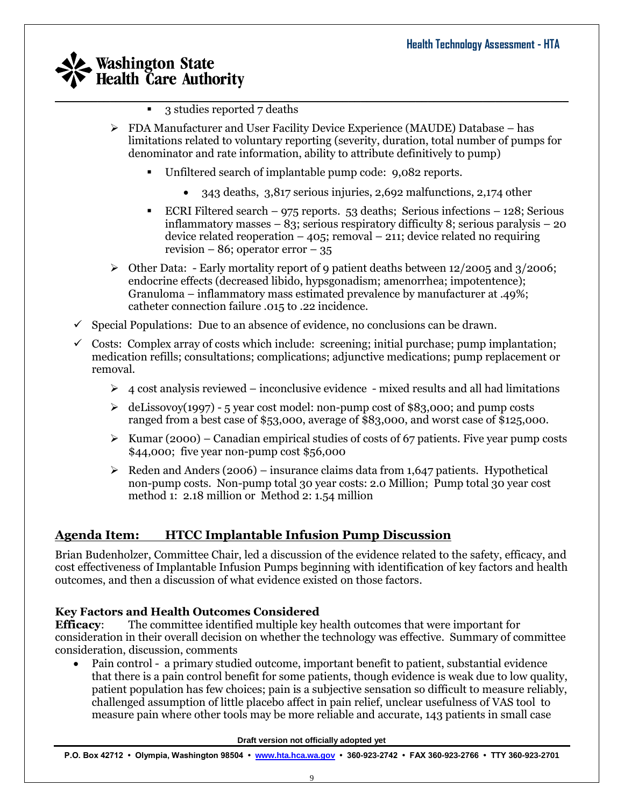- $\mathcal{L}_\mathcal{L} = \mathcal{L}_\mathcal{L} = \mathcal{L}_\mathcal{L} = \mathcal{L}_\mathcal{L} = \mathcal{L}_\mathcal{L} = \mathcal{L}_\mathcal{L} = \mathcal{L}_\mathcal{L} = \mathcal{L}_\mathcal{L} = \mathcal{L}_\mathcal{L} = \mathcal{L}_\mathcal{L} = \mathcal{L}_\mathcal{L} = \mathcal{L}_\mathcal{L} = \mathcal{L}_\mathcal{L} = \mathcal{L}_\mathcal{L} = \mathcal{L}_\mathcal{L} = \mathcal{L}_\mathcal{L} = \mathcal{L}_\mathcal{L}$ ■ 3 studies reported 7 deaths
	- $\triangleright$  FDA Manufacturer and User Facility Device Experience (MAUDE) Database has limitations related to voluntary reporting (severity, duration, total number of pumps for denominator and rate information, ability to attribute definitively to pump)
		- Unfiltered search of implantable pump code: 9,082 reports.
			- 343 deaths, 3,817 serious injuries, 2,692 malfunctions, 2,174 other
		- ECRI Filtered search  $975$  reports. 53 deaths; Serious infections 128; Serious inflammatory masses – 83; serious respiratory difficulty 8; serious paralysis – 20 device related reoperation  $-405$ ; removal  $-211$ ; device related no requiring revision – 86; operator error – 35
	- $\triangleright$  Other Data: Early mortality report of 9 patient deaths between 12/2005 and 3/2006; endocrine effects (decreased libido, hypsgonadism; amenorrhea; impotentence); Granuloma – inflammatory mass estimated prevalence by manufacturer at .49%; catheter connection failure .015 to .22 incidence.
	- $\checkmark$  Special Populations: Due to an absence of evidence, no conclusions can be drawn.
	- $\checkmark$  Costs: Complex array of costs which include: screening; initial purchase; pump implantation; medication refills; consultations; complications; adjunctive medications; pump replacement or removal.
		- $\geq 4$  cost analysis reviewed inconclusive evidence mixed results and all had limitations
		- $\geq$  deLissovoy(1997) 5 year cost model: non-pump cost of \$83,000; and pump costs ranged from a best case of \$53,000, average of \$83,000, and worst case of \$125,000.
		- $\triangleright$  Kumar (2000) Canadian empirical studies of costs of 67 patients. Five year pump costs \$44,000; five year non-pump cost \$56,000
		- $\triangleright$  Reden and Anders (2006) insurance claims data from 1,647 patients. Hypothetical non-pump costs. Non-pump total 30 year costs: 2.0 Million; Pump total 30 year cost method 1: 2.18 million or Method 2: 1.54 million

# **Agenda Item: HTCC Implantable Infusion Pump Discussion**

Brian Budenholzer, Committee Chair, led a discussion of the evidence related to the safety, efficacy, and cost effectiveness of Implantable Infusion Pumps beginning with identification of key factors and health outcomes, and then a discussion of what evidence existed on those factors.

### **Key Factors and Health Outcomes Considered**

**Efficacy**: The committee identified multiple key health outcomes that were important for consideration in their overall decision on whether the technology was effective. Summary of committee consideration, discussion, comments

 Pain control - a primary studied outcome, important benefit to patient, substantial evidence that there is a pain control benefit for some patients, though evidence is weak due to low quality, patient population has few choices; pain is a subjective sensation so difficult to measure reliably, challenged assumption of little placebo affect in pain relief, unclear usefulness of VAS tool to measure pain where other tools may be more reliable and accurate, 143 patients in small case

**Draft version not officially adopted yet**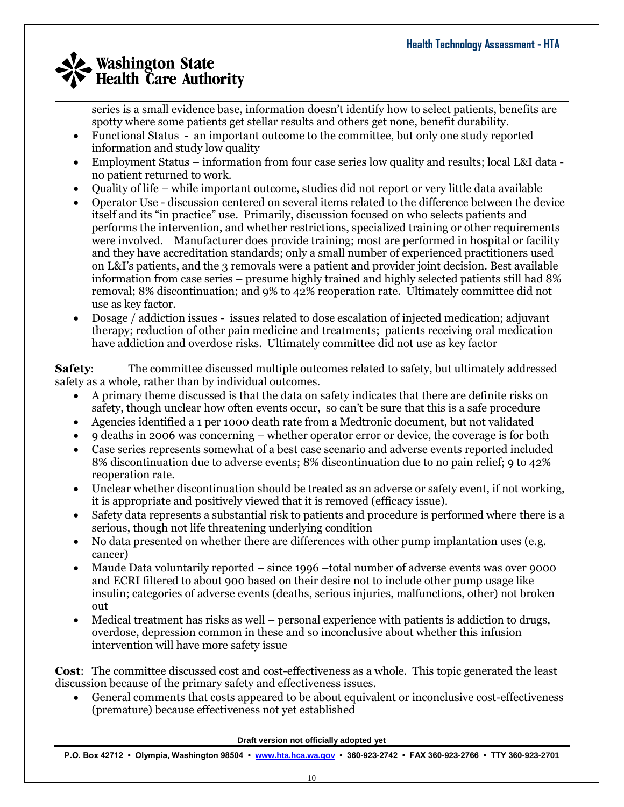series is a small evidence base, information doesn't identify how to select patients, benefits are spotty where some patients get stellar results and others get none, benefit durability.

- Functional Status an important outcome to the committee, but only one study reported information and study low quality
- Employment Status information from four case series low quality and results; local L&I data no patient returned to work.
- Quality of life while important outcome, studies did not report or very little data available
- Operator Use discussion centered on several items related to the difference between the device itself and its "in practice" use. Primarily, discussion focused on who selects patients and performs the intervention, and whether restrictions, specialized training or other requirements were involved. Manufacturer does provide training; most are performed in hospital or facility and they have accreditation standards; only a small number of experienced practitioners used on L&I's patients, and the 3 removals were a patient and provider joint decision. Best available information from case series – presume highly trained and highly selected patients still had 8% removal; 8% discontinuation; and 9% to 42% reoperation rate. Ultimately committee did not use as key factor.
- Dosage / addiction issues issues related to dose escalation of injected medication; adjuvant therapy; reduction of other pain medicine and treatments; patients receiving oral medication have addiction and overdose risks. Ultimately committee did not use as key factor

**Safety**: The committee discussed multiple outcomes related to safety, but ultimately addressed safety as a whole, rather than by individual outcomes.

- A primary theme discussed is that the data on safety indicates that there are definite risks on safety, though unclear how often events occur, so can't be sure that this is a safe procedure
- Agencies identified a 1 per 1000 death rate from a Medtronic document, but not validated
- 9 deaths in 2006 was concerning whether operator error or device, the coverage is for both
- Case series represents somewhat of a best case scenario and adverse events reported included 8% discontinuation due to adverse events; 8% discontinuation due to no pain relief; 9 to 42% reoperation rate.
- Unclear whether discontinuation should be treated as an adverse or safety event, if not working, it is appropriate and positively viewed that it is removed (efficacy issue).
- Safety data represents a substantial risk to patients and procedure is performed where there is a serious, though not life threatening underlying condition
- No data presented on whether there are differences with other pump implantation uses (e.g. cancer)
- Maude Data voluntarily reported since 1996 –total number of adverse events was over 9000 and ECRI filtered to about 900 based on their desire not to include other pump usage like insulin; categories of adverse events (deaths, serious injuries, malfunctions, other) not broken out
- Medical treatment has risks as well personal experience with patients is addiction to drugs, overdose, depression common in these and so inconclusive about whether this infusion intervention will have more safety issue

**Cost**: The committee discussed cost and cost-effectiveness as a whole. This topic generated the least discussion because of the primary safety and effectiveness issues.

 General comments that costs appeared to be about equivalent or inconclusive cost-effectiveness (premature) because effectiveness not yet established

**Draft version not officially adopted yet**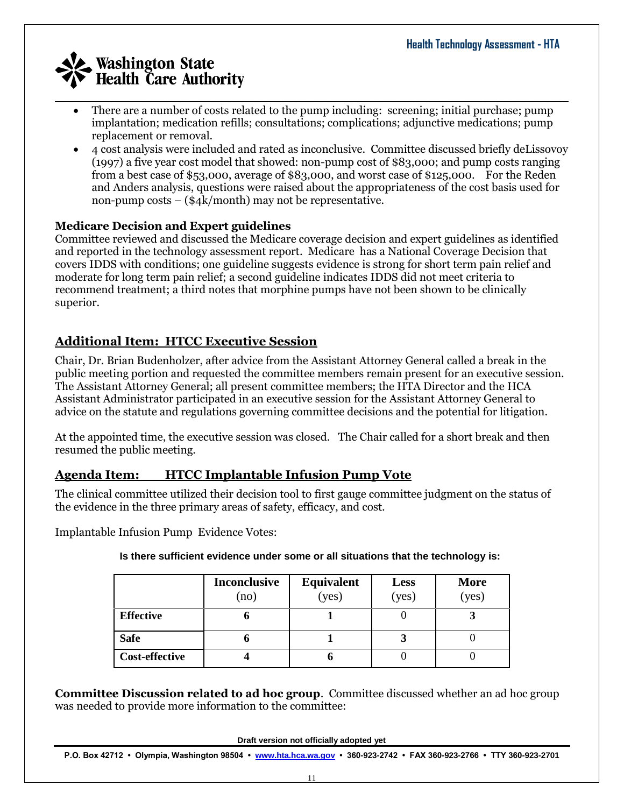- There are a number of costs related to the pump including: screening; initial purchase; pump implantation; medication refills; consultations; complications; adjunctive medications; pump replacement or removal.
- 4 cost analysis were included and rated as inconclusive. Committee discussed briefly deLissovoy (1997) a five year cost model that showed: non-pump cost of \$83,000; and pump costs ranging from a best case of \$53,000, average of \$83,000, and worst case of \$125,000. For the Reden and Anders analysis, questions were raised about the appropriateness of the cost basis used for non-pump costs – (\$4k/month) may not be representative.

### **Medicare Decision and Expert guidelines**

Committee reviewed and discussed the Medicare coverage decision and expert guidelines as identified and reported in the technology assessment report. Medicare has a National Coverage Decision that covers IDDS with conditions; one guideline suggests evidence is strong for short term pain relief and moderate for long term pain relief; a second guideline indicates IDDS did not meet criteria to recommend treatment; a third notes that morphine pumps have not been shown to be clinically superior.

# **Additional Item: HTCC Executive Session**

Chair, Dr. Brian Budenholzer, after advice from the Assistant Attorney General called a break in the public meeting portion and requested the committee members remain present for an executive session. The Assistant Attorney General; all present committee members; the HTA Director and the HCA Assistant Administrator participated in an executive session for the Assistant Attorney General to advice on the statute and regulations governing committee decisions and the potential for litigation.

At the appointed time, the executive session was closed. The Chair called for a short break and then resumed the public meeting.

# **Agenda Item: HTCC Implantable Infusion Pump Vote**

The clinical committee utilized their decision tool to first gauge committee judgment on the status of the evidence in the three primary areas of safety, efficacy, and cost.

Implantable Infusion Pump Evidence Votes:

| Is there sufficient evidence under some or all situations that the technology is: |  |
|-----------------------------------------------------------------------------------|--|
|-----------------------------------------------------------------------------------|--|

|                       | <b>Inconclusive</b><br>(no) | <b>Equivalent</b><br>(yes) | Less<br>(yes) | <b>More</b><br>(yes) |
|-----------------------|-----------------------------|----------------------------|---------------|----------------------|
| <b>Effective</b>      | o                           |                            |               |                      |
| <b>Safe</b>           |                             |                            | Ĵ             |                      |
| <b>Cost-effective</b> |                             |                            |               |                      |

**Committee Discussion related to ad hoc group**. Committee discussed whether an ad hoc group was needed to provide more information to the committee:

**Draft version not officially adopted yet**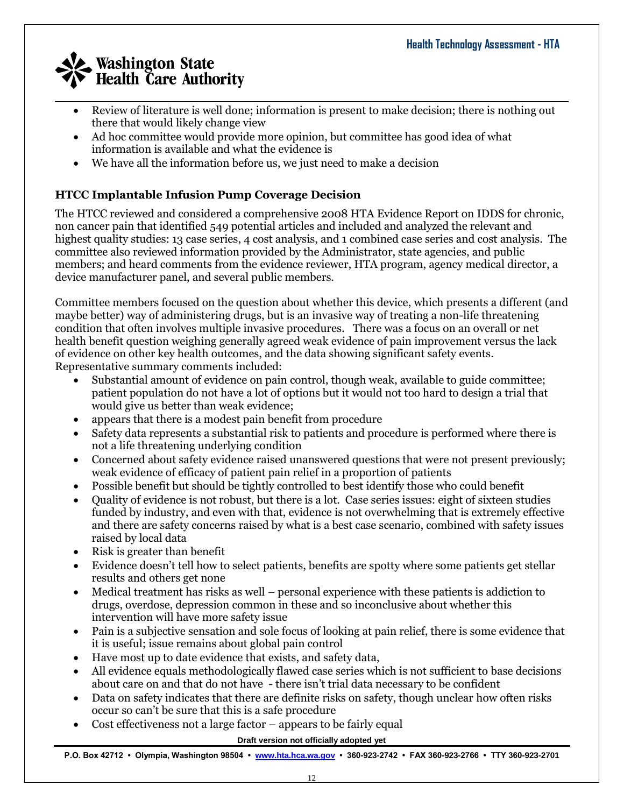- Review of literature is well done; information is present to make decision; there is nothing out there that would likely change view
- Ad hoc committee would provide more opinion, but committee has good idea of what information is available and what the evidence is
- We have all the information before us, we just need to make a decision

## **HTCC Implantable Infusion Pump Coverage Decision**

The HTCC reviewed and considered a comprehensive 2008 HTA Evidence Report on IDDS for chronic, non cancer pain that identified 549 potential articles and included and analyzed the relevant and highest quality studies: 13 case series, 4 cost analysis, and 1 combined case series and cost analysis. The committee also reviewed information provided by the Administrator, state agencies, and public members; and heard comments from the evidence reviewer, HTA program, agency medical director, a device manufacturer panel, and several public members.

Committee members focused on the question about whether this device, which presents a different (and maybe better) way of administering drugs, but is an invasive way of treating a non-life threatening condition that often involves multiple invasive procedures. There was a focus on an overall or net health benefit question weighing generally agreed weak evidence of pain improvement versus the lack of evidence on other key health outcomes, and the data showing significant safety events. Representative summary comments included:

- Substantial amount of evidence on pain control, though weak, available to guide committee; patient population do not have a lot of options but it would not too hard to design a trial that would give us better than weak evidence;
- appears that there is a modest pain benefit from procedure
- Safety data represents a substantial risk to patients and procedure is performed where there is not a life threatening underlying condition
- Concerned about safety evidence raised unanswered questions that were not present previously; weak evidence of efficacy of patient pain relief in a proportion of patients
- Possible benefit but should be tightly controlled to best identify those who could benefit
- Quality of evidence is not robust, but there is a lot. Case series issues: eight of sixteen studies funded by industry, and even with that, evidence is not overwhelming that is extremely effective and there are safety concerns raised by what is a best case scenario, combined with safety issues raised by local data
- Risk is greater than benefit
- Evidence doesn't tell how to select patients, benefits are spotty where some patients get stellar results and others get none
- Medical treatment has risks as well personal experience with these patients is addiction to drugs, overdose, depression common in these and so inconclusive about whether this intervention will have more safety issue
- Pain is a subjective sensation and sole focus of looking at pain relief, there is some evidence that it is useful; issue remains about global pain control
- Have most up to date evidence that exists, and safety data,
- All evidence equals methodologically flawed case series which is not sufficient to base decisions about care on and that do not have - there isn't trial data necessary to be confident
- Data on safety indicates that there are definite risks on safety, though unclear how often risks occur so can't be sure that this is a safe procedure
- Cost effectiveness not a large factor appears to be fairly equal

#### **Draft version not officially adopted yet**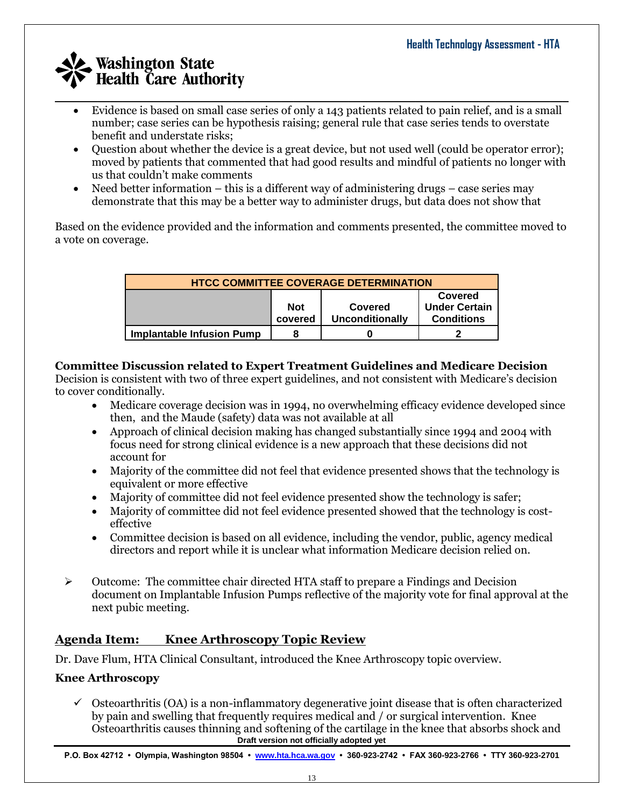- Evidence is based on small case series of only a 143 patients related to pain relief, and is a small number; case series can be hypothesis raising; general rule that case series tends to overstate benefit and understate risks;
- Question about whether the device is a great device, but not used well (could be operator error); moved by patients that commented that had good results and mindful of patients no longer with us that couldn't make comments
- Need better information this is a different way of administering drugs case series may demonstrate that this may be a better way to administer drugs, but data does not show that

Based on the evidence provided and the information and comments presented, the committee moved to a vote on coverage.

| <b>HTCC COMMITTEE COVERAGE DETERMINATION</b>                                                                              |   |  |  |  |  |  |  |
|---------------------------------------------------------------------------------------------------------------------------|---|--|--|--|--|--|--|
| <b>Covered</b><br><b>Under Certain</b><br><b>Not</b><br><b>Covered</b><br>Unconditionally<br><b>Conditions</b><br>covered |   |  |  |  |  |  |  |
| <b>Implantable Infusion Pump</b>                                                                                          | 8 |  |  |  |  |  |  |

### **Committee Discussion related to Expert Treatment Guidelines and Medicare Decision**

Decision is consistent with two of three expert guidelines, and not consistent with Medicare's decision to cover conditionally.

- Medicare coverage decision was in 1994, no overwhelming efficacy evidence developed since then, and the Maude (safety) data was not available at all
- Approach of clinical decision making has changed substantially since 1994 and 2004 with focus need for strong clinical evidence is a new approach that these decisions did not account for
- Majority of the committee did not feel that evidence presented shows that the technology is equivalent or more effective
- Majority of committee did not feel evidence presented show the technology is safer;
- Majority of committee did not feel evidence presented showed that the technology is costeffective
- Committee decision is based on all evidence, including the vendor, public, agency medical directors and report while it is unclear what information Medicare decision relied on.
- $\triangleright$  Outcome: The committee chair directed HTA staff to prepare a Findings and Decision document on Implantable Infusion Pumps reflective of the majority vote for final approval at the next pubic meeting.

# **Agenda Item: Knee Arthroscopy Topic Review**

Dr. Dave Flum, HTA Clinical Consultant, introduced the Knee Arthroscopy topic overview.

## **Knee Arthroscopy**

**Draft version not officially adopted yet**  $\checkmark$  Osteoarthritis (OA) is a non-inflammatory degenerative joint disease that is often characterized by pain and swelling that frequently requires medical and / or surgical intervention. Knee Osteoarthritis causes thinning and softening of the cartilage in the knee that absorbs shock and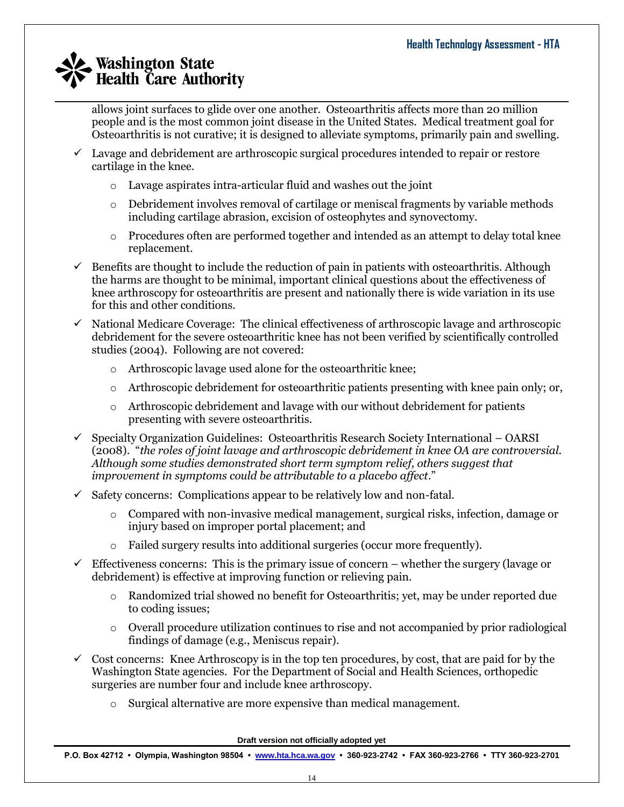allows joint surfaces to glide over one another. Osteoarthritis affects more than 20 million people and is the most common joint disease in the United States. Medical treatment goal for Osteoarthritis is not curative; it is designed to alleviate symptoms, primarily pain and swelling.

- $\checkmark$  Lavage and debridement are arthroscopic surgical procedures intended to repair or restore cartilage in the knee.
	- o Lavage aspirates intra-articular fluid and washes out the joint
	- o Debridement involves removal of cartilage or meniscal fragments by variable methods including cartilage abrasion, excision of osteophytes and synovectomy.
	- o Procedures often are performed together and intended as an attempt to delay total knee replacement.
- $\checkmark$  Benefits are thought to include the reduction of pain in patients with osteoarthritis. Although the harms are thought to be minimal, important clinical questions about the effectiveness of knee arthroscopy for osteoarthritis are present and nationally there is wide variation in its use for this and other conditions.
- $\checkmark$  National Medicare Coverage: The clinical effectiveness of arthroscopic lavage and arthroscopic debridement for the severe osteoarthritic knee has not been verified by scientifically controlled studies (2004). Following are not covered:
	- o Arthroscopic lavage used alone for the osteoarthritic knee;
	- $\circ$  Arthroscopic debridement for osteoarthritic patients presenting with knee pain only; or,
	- $\circ$  Arthroscopic debridement and lavage with our without debridement for patients presenting with severe osteoarthritis.
- $\checkmark$  Specialty Organization Guidelines: Osteoarthritis Research Society International OARSI (2008). "*the roles of joint lavage and arthroscopic debridement in knee OA are controversial. Although some studies demonstrated short term symptom relief, others suggest that improvement in symptoms could be attributable to a placebo affect*."
- $\checkmark$  Safety concerns: Complications appear to be relatively low and non-fatal.
	- o Compared with non-invasive medical management, surgical risks, infection, damage or injury based on improper portal placement; and
	- Failed surgery results into additional surgeries (occur more frequently).
- $\checkmark$  Effectiveness concerns: This is the primary issue of concern whether the surgery (lavage or debridement) is effective at improving function or relieving pain.
	- o Randomized trial showed no benefit for Osteoarthritis; yet, may be under reported due to coding issues;
	- o Overall procedure utilization continues to rise and not accompanied by prior radiological findings of damage (e.g., Meniscus repair).
- $\checkmark$  Cost concerns: Knee Arthroscopy is in the top ten procedures, by cost, that are paid for by the Washington State agencies. For the Department of Social and Health Sciences, orthopedic surgeries are number four and include knee arthroscopy.
	- o Surgical alternative are more expensive than medical management.

**Draft version not officially adopted yet**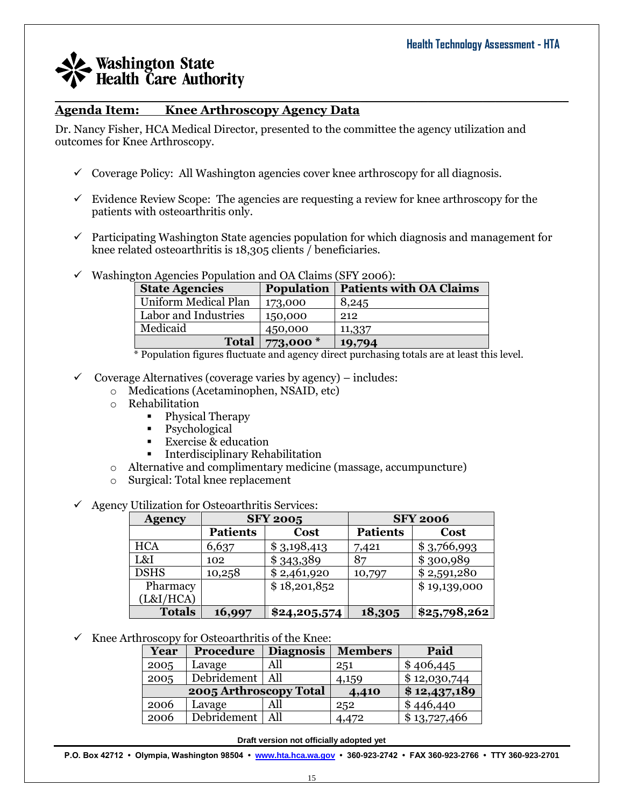### **Agenda Item: Knee Arthroscopy Agency Data**

Dr. Nancy Fisher, HCA Medical Director, presented to the committee the agency utilization and outcomes for Knee Arthroscopy.

- $\checkmark$  Coverage Policy: All Washington agencies cover knee arthroscopy for all diagnosis.
- $\checkmark$  Evidence Review Scope: The agencies are requesting a review for knee arthroscopy for the patients with osteoarthritis only.

 $\mathcal{L}_\mathcal{L} = \mathcal{L}_\mathcal{L} = \mathcal{L}_\mathcal{L} = \mathcal{L}_\mathcal{L} = \mathcal{L}_\mathcal{L} = \mathcal{L}_\mathcal{L} = \mathcal{L}_\mathcal{L} = \mathcal{L}_\mathcal{L} = \mathcal{L}_\mathcal{L} = \mathcal{L}_\mathcal{L} = \mathcal{L}_\mathcal{L} = \mathcal{L}_\mathcal{L} = \mathcal{L}_\mathcal{L} = \mathcal{L}_\mathcal{L} = \mathcal{L}_\mathcal{L} = \mathcal{L}_\mathcal{L} = \mathcal{L}_\mathcal{L}$ 

- $\checkmark$  Participating Washington State agencies population for which diagnosis and management for knee related osteoarthritis is 18,305 clients / beneficiaries.
- $\checkmark$  Washington Agencies Population and OA Claims (SFY 2006):

| <b>Population</b> | <b>Patients with OA Claims</b> |
|-------------------|--------------------------------|
| 173,000           | 8,245                          |
| 150,000           | 212                            |
| 450,000           | 11,337                         |
| 773,000 *         | 19,794                         |
|                   |                                |

\* Population figures fluctuate and agency direct purchasing totals are at least this level.

- $\checkmark$  Coverage Alternatives (coverage varies by agency) includes:
	- o Medications (Acetaminophen, NSAID, etc)
	- o Rehabilitation
		- Physical Therapy
		- Psychological
		- **Exercise & education**
		- **Interdisciplinary Rehabilitation**
	- o Alternative and complimentary medicine (massage, accumpuncture)
	- o Surgical: Total knee replacement
- $\checkmark$  Agency Utilization for Osteoarthritis Services:

| <b>Agency</b> | <b>SFY 2005</b> |              |                 | <b>SFY 2006</b> |
|---------------|-----------------|--------------|-----------------|-----------------|
|               | <b>Patients</b> | Cost         | <b>Patients</b> | <b>Cost</b>     |
| <b>HCA</b>    | 6,637           | \$3,198,413  | 7,421           | \$3,766,993     |
| L&I           | 102             | \$343,389    | 87              | \$300,989       |
| <b>DSHS</b>   | 10,258          | \$2,461,920  | 10,797          | \$2,591,280     |
| Pharmacy      |                 | \$18,201,852 |                 | \$19,139,000    |
| (L&I/HCA)     |                 |              |                 |                 |
| <b>Totals</b> | 16,997          | \$24,205,574 | 18,305          | \$25,798,262    |

 $\checkmark$  Knee Arthroscopy for Osteoarthritis of the Knee:

| Year                   | Procedure   | <b>Diagnosis</b> | <b>Members</b> | Paid         |
|------------------------|-------------|------------------|----------------|--------------|
| 2005                   | Lavage      | All              | 251            | \$406,445    |
| 2005                   | Debridement | All              | 4,159          | \$12,030,744 |
| 2005 Arthroscopy Total |             |                  | 4,410          | \$12,437,189 |
| 2006                   | Lavage      |                  | 252            | \$446,440    |
| 2006                   | Debridement | All              | 4,472          | \$13,727,466 |

**Draft version not officially adopted yet**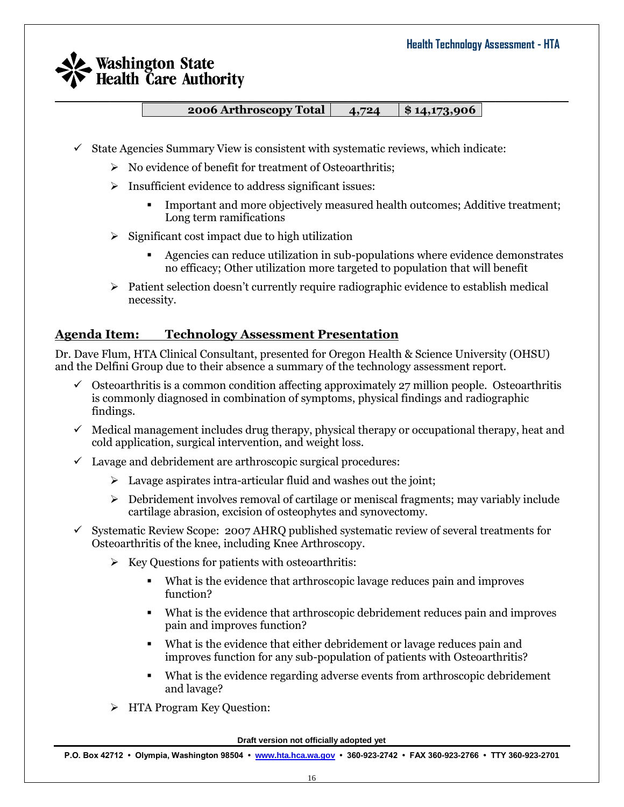**2006 Arthroscopy Total 4,724 \$ 14,173,906**

- $\checkmark$  State Agencies Summary View is consistent with systematic reviews, which indicate:
	- $\triangleright$  No evidence of benefit for treatment of Osteoarthritis;
	- $\triangleright$  Insufficient evidence to address significant issues:
		- Important and more objectively measured health outcomes; Additive treatment; Long term ramifications
	- $\triangleright$  Significant cost impact due to high utilization
		- Agencies can reduce utilization in sub-populations where evidence demonstrates no efficacy; Other utilization more targeted to population that will benefit
	- $\triangleright$  Patient selection doesn't currently require radiographic evidence to establish medical necessity.

## **Agenda Item: Technology Assessment Presentation**

Dr. Dave Flum, HTA Clinical Consultant, presented for Oregon Health & Science University (OHSU) and the Delfini Group due to their absence a summary of the technology assessment report.

- $\checkmark$  Osteoarthritis is a common condition affecting approximately 27 million people. Osteoarthritis is commonly diagnosed in combination of symptoms, physical findings and radiographic findings.
- $\checkmark$  Medical management includes drug therapy, physical therapy or occupational therapy, heat and cold application, surgical intervention, and weight loss.
- $\checkmark$  Lavage and debridement are arthroscopic surgical procedures:
	- $\triangleright$  Lavage aspirates intra-articular fluid and washes out the joint;
	- $\triangleright$  Debridement involves removal of cartilage or meniscal fragments; may variably include cartilage abrasion, excision of osteophytes and synovectomy.
- $\checkmark$  Systematic Review Scope: 2007 AHRQ published systematic review of several treatments for Osteoarthritis of the knee, including Knee Arthroscopy.
	- $\triangleright$  Key Questions for patients with osteoarthritis:
		- What is the evidence that arthroscopic lavage reduces pain and improves function?
		- What is the evidence that arthroscopic debridement reduces pain and improves pain and improves function?
		- What is the evidence that either debridement or lavage reduces pain and improves function for any sub-population of patients with Osteoarthritis?
		- What is the evidence regarding adverse events from arthroscopic debridement and lavage?
	- > HTA Program Key Question:

**Draft version not officially adopted yet**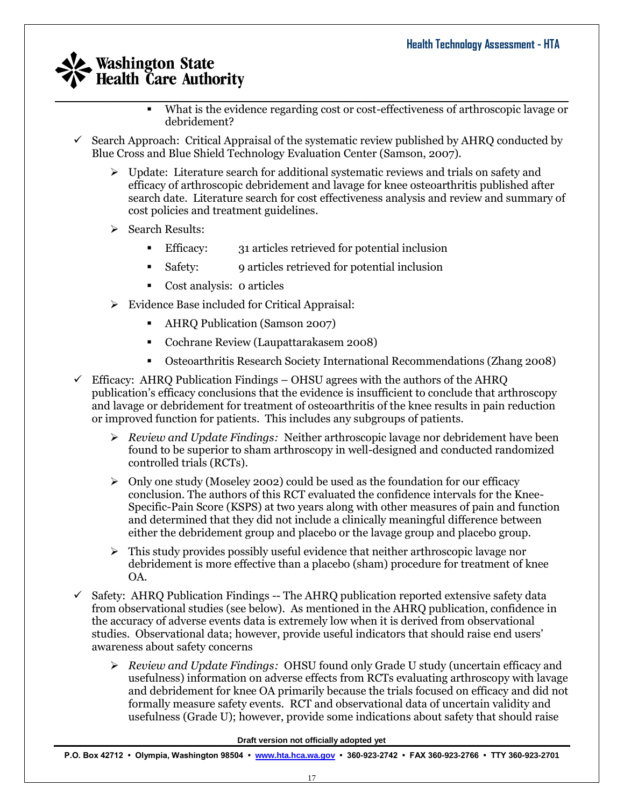- $\mathcal{L}_\mathcal{L} = \mathcal{L}_\mathcal{L} = \mathcal{L}_\mathcal{L} = \mathcal{L}_\mathcal{L} = \mathcal{L}_\mathcal{L} = \mathcal{L}_\mathcal{L} = \mathcal{L}_\mathcal{L} = \mathcal{L}_\mathcal{L} = \mathcal{L}_\mathcal{L} = \mathcal{L}_\mathcal{L} = \mathcal{L}_\mathcal{L} = \mathcal{L}_\mathcal{L} = \mathcal{L}_\mathcal{L} = \mathcal{L}_\mathcal{L} = \mathcal{L}_\mathcal{L} = \mathcal{L}_\mathcal{L} = \mathcal{L}_\mathcal{L}$  What is the evidence regarding cost or cost-effectiveness of arthroscopic lavage or debridement?
	- Search Approach: Critical Appraisal of the systematic review published by AHRQ conducted by Blue Cross and Blue Shield Technology Evaluation Center (Samson, 2007).
		- $\triangleright$  Update: Literature search for additional systematic reviews and trials on safety and efficacy of arthroscopic debridement and lavage for knee osteoarthritis published after search date. Literature search for cost effectiveness analysis and review and summary of cost policies and treatment guidelines.
		- $\triangleright$  Search Results:
			- Efficacy: 31 articles retrieved for potential inclusion
			- Safety: 9 articles retrieved for potential inclusion
			- Cost analysis: 0 articles
		- Evidence Base included for Critical Appraisal:
			- AHRQ Publication (Samson 2007)
			- Cochrane Review (Laupattarakasem 2008)
			- Osteoarthritis Research Society International Recommendations (Zhang 2008)
	- $\checkmark$  Efficacy: AHRQ Publication Findings OHSU agrees with the authors of the AHRQ publication's efficacy conclusions that the evidence is insufficient to conclude that arthroscopy and lavage or debridement for treatment of osteoarthritis of the knee results in pain reduction or improved function for patients. This includes any subgroups of patients.
		- *Review and Update Findings:* Neither arthroscopic lavage nor debridement have been found to be superior to sham arthroscopy in well-designed and conducted randomized controlled trials (RCTs).
		- $\triangleright$  Only one study (Moseley 2002) could be used as the foundation for our efficacy conclusion. The authors of this RCT evaluated the confidence intervals for the Knee-Specific-Pain Score (KSPS) at two years along with other measures of pain and function and determined that they did not include a clinically meaningful difference between either the debridement group and placebo or the lavage group and placebo group.
		- $\triangleright$  This study provides possibly useful evidence that neither arthroscopic lavage nor debridement is more effective than a placebo (sham) procedure for treatment of knee OA.
	- $\checkmark$  Safety: AHRQ Publication Findings -- The AHRQ publication reported extensive safety data from observational studies (see below). As mentioned in the AHRQ publication, confidence in the accuracy of adverse events data is extremely low when it is derived from observational studies. Observational data; however, provide useful indicators that should raise end users' awareness about safety concerns
		- *Review and Update Findings:* OHSU found only Grade U study (uncertain efficacy and usefulness) information on adverse effects from RCTs evaluating arthroscopy with lavage and debridement for knee OA primarily because the trials focused on efficacy and did not formally measure safety events. RCT and observational data of uncertain validity and usefulness (Grade U); however, provide some indications about safety that should raise

**Draft version not officially adopted yet**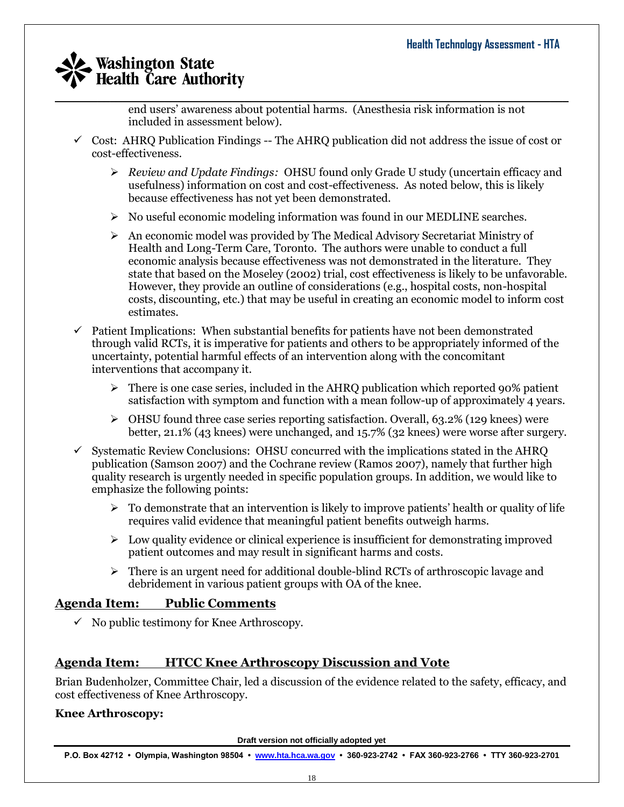end users' awareness about potential harms. (Anesthesia risk information is not included in assessment below).

- $\checkmark$  Cost: AHRO Publication Findings -- The AHRO publication did not address the issue of cost or cost-effectiveness.
	- *Review and Update Findings:* OHSU found only Grade U study (uncertain efficacy and usefulness) information on cost and cost-effectiveness. As noted below, this is likely because effectiveness has not yet been demonstrated.
	- $\triangleright$  No useful economic modeling information was found in our MEDLINE searches.
	- $\triangleright$  An economic model was provided by The Medical Advisory Secretariat Ministry of Health and Long-Term Care, Toronto. The authors were unable to conduct a full economic analysis because effectiveness was not demonstrated in the literature. They state that based on the Moseley (2002) trial, cost effectiveness is likely to be unfavorable. However, they provide an outline of considerations (e.g., hospital costs, non-hospital costs, discounting, etc.) that may be useful in creating an economic model to inform cost estimates.
- $\checkmark$  Patient Implications: When substantial benefits for patients have not been demonstrated through valid RCTs, it is imperative for patients and others to be appropriately informed of the uncertainty, potential harmful effects of an intervention along with the concomitant interventions that accompany it.
	- $\triangleright$  There is one case series, included in the AHRQ publication which reported 90% patient satisfaction with symptom and function with a mean follow-up of approximately 4 years.
	- $\triangleright$  OHSU found three case series reporting satisfaction. Overall, 63.2% (129 knees) were better, 21.1% (43 knees) were unchanged, and 15.7% (32 knees) were worse after surgery.
- $\checkmark$  Systematic Review Conclusions: OHSU concurred with the implications stated in the AHRO publication (Samson 2007) and the Cochrane review (Ramos 2007), namely that further high quality research is urgently needed in specific population groups. In addition, we would like to emphasize the following points:
	- $\triangleright$  To demonstrate that an intervention is likely to improve patients' health or quality of life requires valid evidence that meaningful patient benefits outweigh harms.
	- $\triangleright$  Low quality evidence or clinical experience is insufficient for demonstrating improved patient outcomes and may result in significant harms and costs.
	- $\triangleright$  There is an urgent need for additional double-blind RCTs of arthroscopic lavage and debridement in various patient groups with OA of the knee.

## **Agenda Item: Public Comments**

 $\checkmark$  No public testimony for Knee Arthroscopy.

## **Agenda Item: HTCC Knee Arthroscopy Discussion and Vote**

Brian Budenholzer, Committee Chair, led a discussion of the evidence related to the safety, efficacy, and cost effectiveness of Knee Arthroscopy.

#### **Knee Arthroscopy:**

**Draft version not officially adopted yet**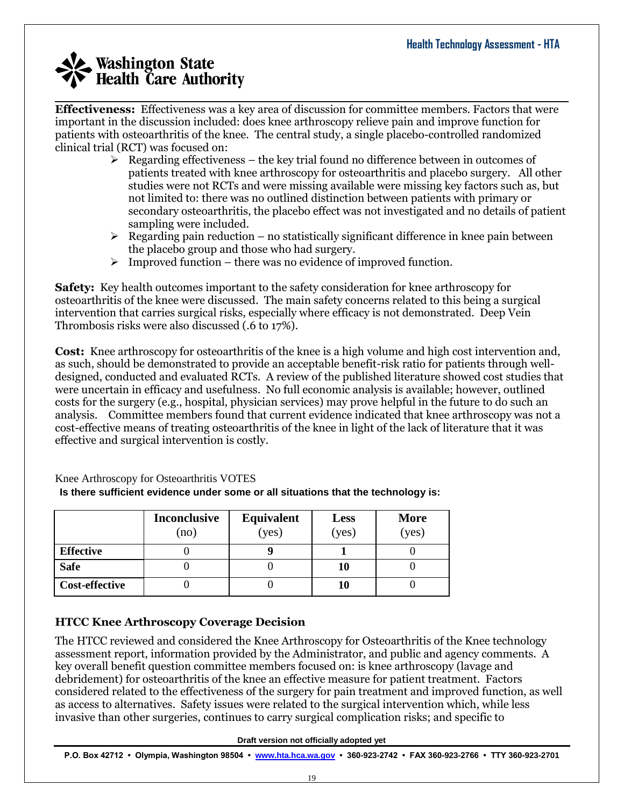**Effectiveness:** Effectiveness was a key area of discussion for committee members. Factors that were important in the discussion included: does knee arthroscopy relieve pain and improve function for patients with osteoarthritis of the knee. The central study, a single placebo-controlled randomized clinical trial (RCT) was focused on:

 $\mathcal{L}_\mathcal{L} = \mathcal{L}_\mathcal{L} = \mathcal{L}_\mathcal{L} = \mathcal{L}_\mathcal{L} = \mathcal{L}_\mathcal{L} = \mathcal{L}_\mathcal{L} = \mathcal{L}_\mathcal{L} = \mathcal{L}_\mathcal{L} = \mathcal{L}_\mathcal{L} = \mathcal{L}_\mathcal{L} = \mathcal{L}_\mathcal{L} = \mathcal{L}_\mathcal{L} = \mathcal{L}_\mathcal{L} = \mathcal{L}_\mathcal{L} = \mathcal{L}_\mathcal{L} = \mathcal{L}_\mathcal{L} = \mathcal{L}_\mathcal{L}$ 

- $\triangleright$  Regarding effectiveness the key trial found no difference between in outcomes of patients treated with knee arthroscopy for osteoarthritis and placebo surgery. All other studies were not RCTs and were missing available were missing key factors such as, but not limited to: there was no outlined distinction between patients with primary or secondary osteoarthritis, the placebo effect was not investigated and no details of patient sampling were included.
- $\triangleright$  Regarding pain reduction no statistically significant difference in knee pain between the placebo group and those who had surgery.
- $\triangleright$  Improved function there was no evidence of improved function.

**Safety:** Key health outcomes important to the safety consideration for knee arthroscopy for osteoarthritis of the knee were discussed. The main safety concerns related to this being a surgical intervention that carries surgical risks, especially where efficacy is not demonstrated. Deep Vein Thrombosis risks were also discussed (.6 to 17%).

**Cost:** Knee arthroscopy for osteoarthritis of the knee is a high volume and high cost intervention and, as such, should be demonstrated to provide an acceptable benefit-risk ratio for patients through welldesigned, conducted and evaluated RCTs. A review of the published literature showed cost studies that were uncertain in efficacy and usefulness. No full economic analysis is available; however, outlined costs for the surgery (e.g., hospital, physician services) may prove helpful in the future to do such an analysis. Committee members found that current evidence indicated that knee arthroscopy was not a cost-effective means of treating osteoarthritis of the knee in light of the lack of literature that it was effective and surgical intervention is costly.

|                       | <b>Inconclusive</b><br>(no) | Equivalent<br>(yes) | <b>Less</b><br>(yes) | <b>More</b><br>(yes) |
|-----------------------|-----------------------------|---------------------|----------------------|----------------------|
| <b>Effective</b>      |                             |                     |                      |                      |
| <b>Safe</b>           |                             |                     | 10                   |                      |
| <b>Cost-effective</b> |                             |                     | 10                   |                      |

Knee Arthroscopy for Osteoarthritis VOTES **Is there sufficient evidence under some or all situations that the technology is:**

### **HTCC Knee Arthroscopy Coverage Decision**

The HTCC reviewed and considered the Knee Arthroscopy for Osteoarthritis of the Knee technology assessment report, information provided by the Administrator, and public and agency comments. A key overall benefit question committee members focused on: is knee arthroscopy (lavage and debridement) for osteoarthritis of the knee an effective measure for patient treatment. Factors considered related to the effectiveness of the surgery for pain treatment and improved function, as well as access to alternatives. Safety issues were related to the surgical intervention which, while less invasive than other surgeries, continues to carry surgical complication risks; and specific to

**Draft version not officially adopted yet**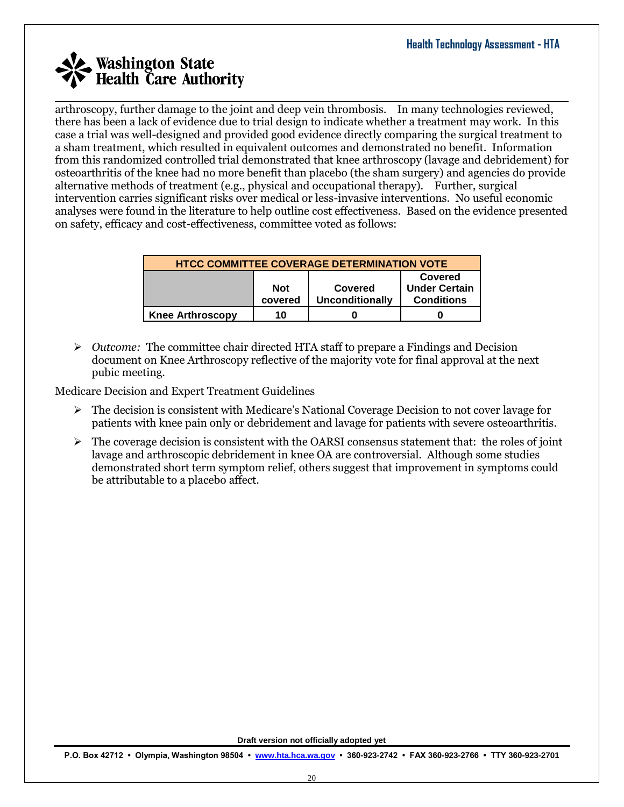arthroscopy, further damage to the joint and deep vein thrombosis. In many technologies reviewed, there has been a lack of evidence due to trial design to indicate whether a treatment may work. In this case a trial was well-designed and provided good evidence directly comparing the surgical treatment to a sham treatment, which resulted in equivalent outcomes and demonstrated no benefit. Information from this randomized controlled trial demonstrated that knee arthroscopy (lavage and debridement) for osteoarthritis of the knee had no more benefit than placebo (the sham surgery) and agencies do provide alternative methods of treatment (e.g., physical and occupational therapy). Further, surgical intervention carries significant risks over medical or less-invasive interventions. No useful economic analyses were found in the literature to help outline cost effectiveness. Based on the evidence presented on safety, efficacy and cost-effectiveness, committee voted as follows:

 $\mathcal{L}_\mathcal{L} = \mathcal{L}_\mathcal{L} = \mathcal{L}_\mathcal{L} = \mathcal{L}_\mathcal{L} = \mathcal{L}_\mathcal{L} = \mathcal{L}_\mathcal{L} = \mathcal{L}_\mathcal{L} = \mathcal{L}_\mathcal{L} = \mathcal{L}_\mathcal{L} = \mathcal{L}_\mathcal{L} = \mathcal{L}_\mathcal{L} = \mathcal{L}_\mathcal{L} = \mathcal{L}_\mathcal{L} = \mathcal{L}_\mathcal{L} = \mathcal{L}_\mathcal{L} = \mathcal{L}_\mathcal{L} = \mathcal{L}_\mathcal{L}$ 

| <b>HTCC COMMITTEE COVERAGE DETERMINATION VOTE</b> |                                                                                                                    |  |  |  |  |  |
|---------------------------------------------------|--------------------------------------------------------------------------------------------------------------------|--|--|--|--|--|
|                                                   | Covered<br><b>Under Certain</b><br><b>Not</b><br>Covered<br><b>Unconditionally</b><br>covered<br><b>Conditions</b> |  |  |  |  |  |
| <b>Knee Arthroscopy</b>                           | 10                                                                                                                 |  |  |  |  |  |

 *Outcome:* The committee chair directed HTA staff to prepare a Findings and Decision document on Knee Arthroscopy reflective of the majority vote for final approval at the next pubic meeting.

Medicare Decision and Expert Treatment Guidelines

- $\triangleright$  The decision is consistent with Medicare's National Coverage Decision to not cover lavage for patients with knee pain only or debridement and lavage for patients with severe osteoarthritis.
- $\triangleright$  The coverage decision is consistent with the OARSI consensus statement that: the roles of joint lavage and arthroscopic debridement in knee OA are controversial. Although some studies demonstrated short term symptom relief, others suggest that improvement in symptoms could be attributable to a placebo affect.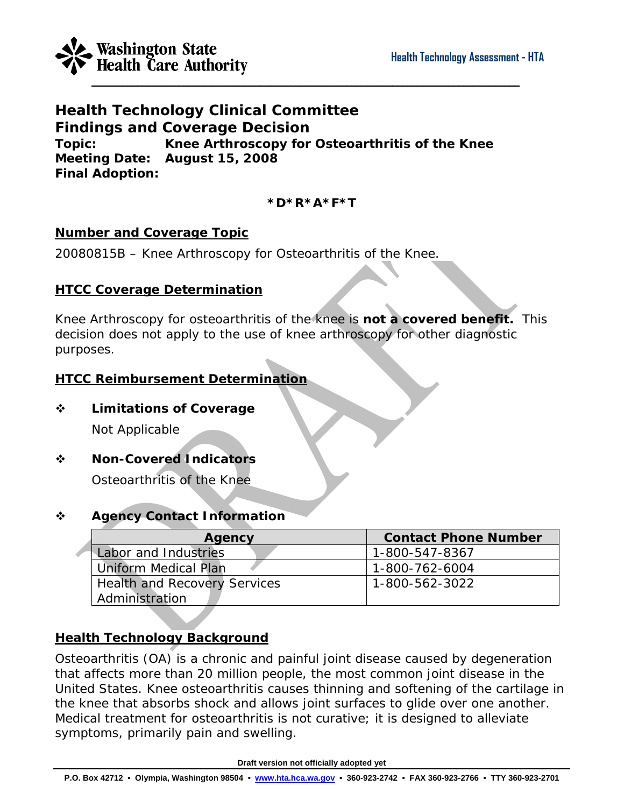

**Health Technology Clinical Committee Findings and Coverage Decision Topic: Knee Arthroscopy for Osteoarthritis of the Knee Meeting Date: August 15, 2008 Final Adoption:** 

## **\*D\*R\*A\*F\*T**

### **Number and Coverage Topic**

20080815B – Knee Arthroscopy for Osteoarthritis of the Knee.

### **HTCC Coverage Determination**

Knee Arthroscopy for osteoarthritis of the knee is **not a covered benefit.** This decision does not apply to the use of knee arthroscopy for other diagnostic purposes.

### **HTCC Reimbursement Determination**

**Limitations of Coverage** 

Not Applicable

**Non-Covered Indicators**

Osteoarthritis of the Knee

## **Agency Contact Information**

| Agency                              | <b>Contact Phone Number</b> |
|-------------------------------------|-----------------------------|
| Labor and Industries                | 1-800-547-8367              |
| <b>Uniform Medical Plan</b>         | 1-800-762-6004              |
| <b>Health and Recovery Services</b> | 1-800-562-3022              |
| Administration                      |                             |

## **Health Technology Background**

Osteoarthritis (OA) is a chronic and painful joint disease caused by degeneration that affects more than 20 million people, the most common joint disease in the United States. Knee osteoarthritis causes thinning and softening of the cartilage in the knee that absorbs shock and allows joint surfaces to glide over one another. Medical treatment for osteoarthritis is not curative; it is designed to alleviate symptoms, primarily pain and swelling.

**Draft version not officially adopted yet**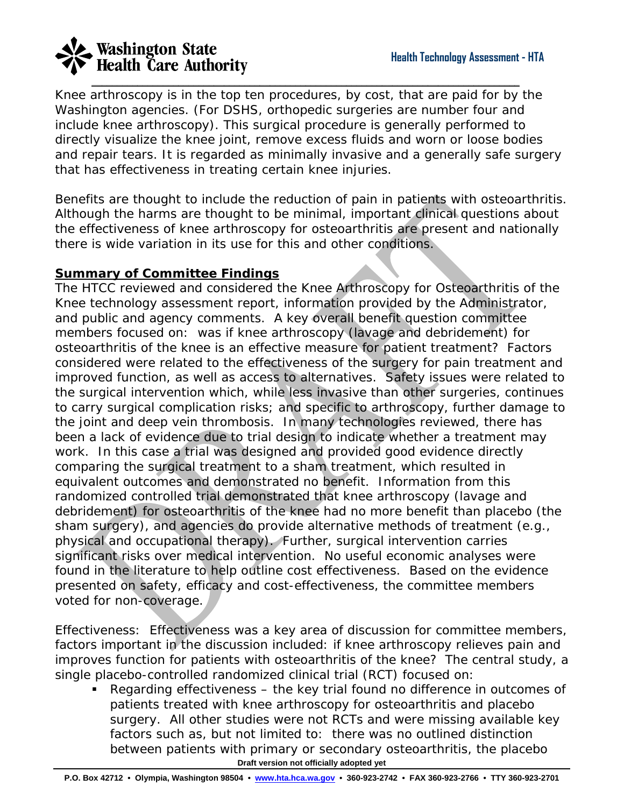Knee arthroscopy is in the top ten procedures, by cost, that are paid for by the Washington agencies. (For DSHS, orthopedic surgeries are number four and include knee arthroscopy). This surgical procedure is generally performed to directly visualize the knee joint, remove excess fluids and worn or loose bodies and repair tears. It is regarded as minimally invasive and a generally safe surgery that has effectiveness in treating certain knee injuries.

 $\mathcal{L}_\mathcal{L} = \{ \mathcal{L}_\mathcal{L} = \{ \mathcal{L}_\mathcal{L} = \{ \mathcal{L}_\mathcal{L} = \{ \mathcal{L}_\mathcal{L} = \{ \mathcal{L}_\mathcal{L} = \{ \mathcal{L}_\mathcal{L} = \{ \mathcal{L}_\mathcal{L} = \{ \mathcal{L}_\mathcal{L} = \{ \mathcal{L}_\mathcal{L} = \{ \mathcal{L}_\mathcal{L} = \{ \mathcal{L}_\mathcal{L} = \{ \mathcal{L}_\mathcal{L} = \{ \mathcal{L}_\mathcal{L} = \{ \mathcal{L}_\mathcal{$ 

Benefits are thought to include the reduction of pain in patients with osteoarthritis. Although the harms are thought to be minimal, important clinical questions about the effectiveness of knee arthroscopy for osteoarthritis are present and nationally there is wide variation in its use for this and other conditions.

# **Summary of Committee Findings**

The HTCC reviewed and considered the Knee Arthroscopy for Osteoarthritis of the Knee technology assessment report, information provided by the Administrator, and public and agency comments. A key overall benefit question committee members focused on: was if knee arthroscopy (lavage and debridement) for osteoarthritis of the knee is an effective measure for patient treatment? Factors considered were related to the effectiveness of the surgery for pain treatment and improved function, as well as access to alternatives. Safety issues were related to the surgical intervention which, while less invasive than other surgeries, continues to carry surgical complication risks; and specific to arthroscopy, further damage to the joint and deep vein thrombosis. In many technologies reviewed, there has been a lack of evidence due to trial design to indicate whether a treatment may work. In this case a trial was designed and provided good evidence directly comparing the surgical treatment to a sham treatment, which resulted in equivalent outcomes and demonstrated no benefit. Information from this randomized controlled trial demonstrated that knee arthroscopy (lavage and debridement) for osteoarthritis of the knee had no more benefit than placebo (the sham surgery), and agencies do provide alternative methods of treatment (e.g., physical and occupational therapy). Further, surgical intervention carries significant risks over medical intervention. No useful economic analyses were found in the literature to help outline cost effectiveness. Based on the evidence presented on safety, efficacy and cost-effectiveness, the committee members voted for non-coverage.

*Effectiveness*: Effectiveness was a key area of discussion for committee members, factors important in the discussion included: if knee arthroscopy relieves pain and improves function for patients with osteoarthritis of the knee? The central study, a single placebo-controlled randomized clinical trial (RCT) focused on:

**Draft version not officially adopted yet**  Regarding effectiveness – the key trial found no difference in outcomes of patients treated with knee arthroscopy for osteoarthritis and placebo surgery. All other studies were not RCTs and were missing available key factors such as, but not limited to: there was no outlined distinction between patients with primary or secondary osteoarthritis, the placebo